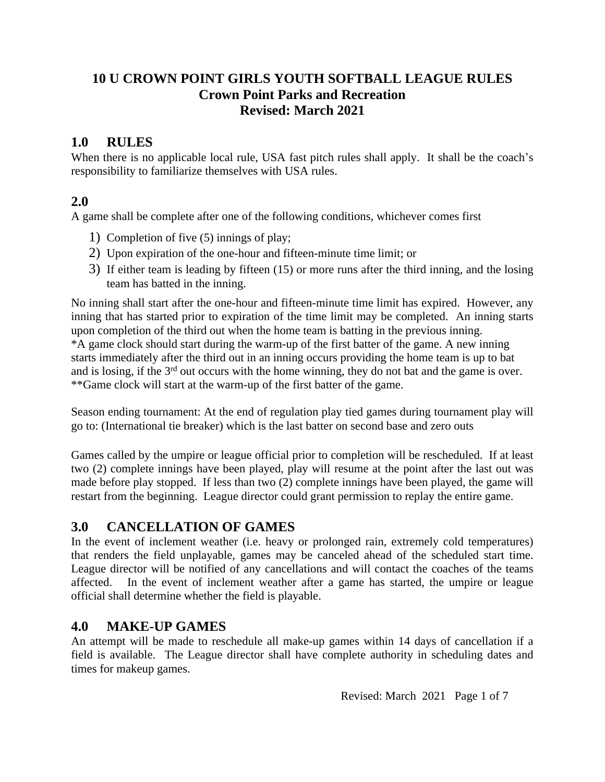# **10 U CROWN POINT GIRLS YOUTH SOFTBALL LEAGUE RULES Crown Point Parks and Recreation Revised: March 2021**

# **1.0 RULES**

When there is no applicable local rule, USA fast pitch rules shall apply. It shall be the coach's responsibility to familiarize themselves with USA rules.

## **2.0**

A game shall be complete after one of the following conditions, whichever comes first

- 1) Completion of five (5) innings of play;
- 2) Upon expiration of the one-hour and fifteen-minute time limit; or
- 3) If either team is leading by fifteen (15) or more runs after the third inning, and the losing team has batted in the inning.

No inning shall start after the one-hour and fifteen-minute time limit has expired. However, any inning that has started prior to expiration of the time limit may be completed. An inning starts upon completion of the third out when the home team is batting in the previous inning. \*A game clock should start during the warm-up of the first batter of the game. A new inning starts immediately after the third out in an inning occurs providing the home team is up to bat and is losing, if the 3rd out occurs with the home winning, they do not bat and the game is over. \*\*Game clock will start at the warm-up of the first batter of the game.

Season ending tournament: At the end of regulation play tied games during tournament play will go to: (International tie breaker) which is the last batter on second base and zero outs

Games called by the umpire or league official prior to completion will be rescheduled. If at least two (2) complete innings have been played, play will resume at the point after the last out was made before play stopped. If less than two (2) complete innings have been played, the game will restart from the beginning. League director could grant permission to replay the entire game.

# **3.0 CANCELLATION OF GAMES**

In the event of inclement weather (i.e. heavy or prolonged rain, extremely cold temperatures) that renders the field unplayable, games may be canceled ahead of the scheduled start time. League director will be notified of any cancellations and will contact the coaches of the teams affected. In the event of inclement weather after a game has started, the umpire or league official shall determine whether the field is playable.

## **4.0 MAKE-UP GAMES**

An attempt will be made to reschedule all make-up games within 14 days of cancellation if a field is available. The League director shall have complete authority in scheduling dates and times for makeup games.

Revised: March 2021 Page 1 of 7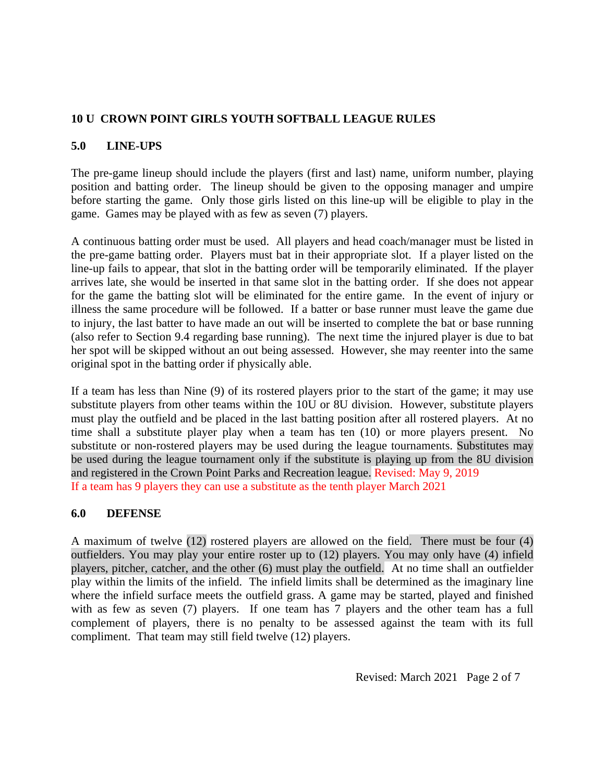#### **5.0 LINE-UPS**

The pre-game lineup should include the players (first and last) name, uniform number, playing position and batting order. The lineup should be given to the opposing manager and umpire before starting the game. Only those girls listed on this line-up will be eligible to play in the game. Games may be played with as few as seven (7) players.

A continuous batting order must be used. All players and head coach/manager must be listed in the pre-game batting order. Players must bat in their appropriate slot. If a player listed on the line-up fails to appear, that slot in the batting order will be temporarily eliminated. If the player arrives late, she would be inserted in that same slot in the batting order. If she does not appear for the game the batting slot will be eliminated for the entire game. In the event of injury or illness the same procedure will be followed. If a batter or base runner must leave the game due to injury, the last batter to have made an out will be inserted to complete the bat or base running (also refer to Section 9.4 regarding base running). The next time the injured player is due to bat her spot will be skipped without an out being assessed. However, she may reenter into the same original spot in the batting order if physically able.

If a team has less than Nine (9) of its rostered players prior to the start of the game; it may use substitute players from other teams within the 10U or 8U division. However, substitute players must play the outfield and be placed in the last batting position after all rostered players. At no time shall a substitute player play when a team has ten (10) or more players present. No substitute or non-rostered players may be used during the league tournaments. Substitutes may be used during the league tournament only if the substitute is playing up from the 8U division and registered in the Crown Point Parks and Recreation league. Revised: May 9, 2019 If a team has 9 players they can use a substitute as the tenth player March 2021

#### **6.0 DEFENSE**

A maximum of twelve (12) rostered players are allowed on the field. There must be four (4) outfielders. You may play your entire roster up to (12) players. You may only have (4) infield players, pitcher, catcher, and the other (6) must play the outfield. At no time shall an outfielder play within the limits of the infield. The infield limits shall be determined as the imaginary line where the infield surface meets the outfield grass. A game may be started, played and finished with as few as seven (7) players. If one team has 7 players and the other team has a full complement of players, there is no penalty to be assessed against the team with its full compliment. That team may still field twelve (12) players.

Revised: March 2021 Page 2 of 7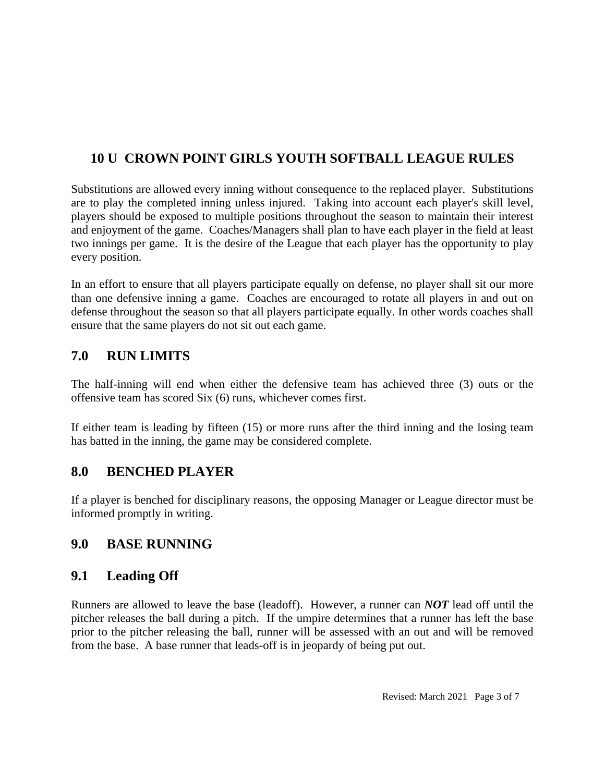Substitutions are allowed every inning without consequence to the replaced player. Substitutions are to play the completed inning unless injured. Taking into account each player's skill level, players should be exposed to multiple positions throughout the season to maintain their interest and enjoyment of the game. Coaches/Managers shall plan to have each player in the field at least two innings per game. It is the desire of the League that each player has the opportunity to play every position.

In an effort to ensure that all players participate equally on defense, no player shall sit our more than one defensive inning a game. Coaches are encouraged to rotate all players in and out on defense throughout the season so that all players participate equally. In other words coaches shall ensure that the same players do not sit out each game.

# **7.0 RUN LIMITS**

The half-inning will end when either the defensive team has achieved three (3) outs or the offensive team has scored Six (6) runs, whichever comes first.

If either team is leading by fifteen (15) or more runs after the third inning and the losing team has batted in the inning, the game may be considered complete.

## **8.0 BENCHED PLAYER**

If a player is benched for disciplinary reasons, the opposing Manager or League director must be informed promptly in writing.

## **9.0 BASE RUNNING**

## **9.1 Leading Off**

Runners are allowed to leave the base (leadoff). However, a runner can *NOT* lead off until the pitcher releases the ball during a pitch. If the umpire determines that a runner has left the base prior to the pitcher releasing the ball, runner will be assessed with an out and will be removed from the base. A base runner that leads-off is in jeopardy of being put out.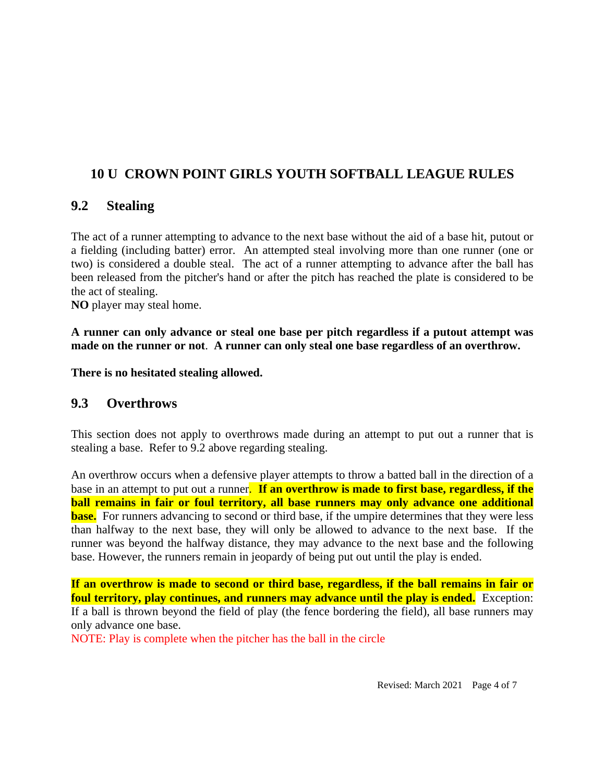#### **9.2 Stealing**

The act of a runner attempting to advance to the next base without the aid of a base hit, putout or a fielding (including batter) error. An attempted steal involving more than one runner (one or two) is considered a double steal. The act of a runner attempting to advance after the ball has been released from the pitcher's hand or after the pitch has reached the plate is considered to be the act of stealing.

**NO** player may steal home.

**A runner can only advance or steal one base per pitch regardless if a putout attempt was made on the runner or not**. **A runner can only steal one base regardless of an overthrow.**

**There is no hesitated stealing allowed.**

#### **9.3 Overthrows**

This section does not apply to overthrows made during an attempt to put out a runner that is stealing a base. Refer to 9.2 above regarding stealing.

An overthrow occurs when a defensive player attempts to throw a batted ball in the direction of a base in an attempt to put out a runner. **If an overthrow is made to first base, regardless, if the ball remains in fair or foul territory, all base runners may only advance one additional base.** For runners advancing to second or third base, if the umpire determines that they were less than halfway to the next base, they will only be allowed to advance to the next base. If the runner was beyond the halfway distance, they may advance to the next base and the following base. However, the runners remain in jeopardy of being put out until the play is ended.

**If an overthrow is made to second or third base, regardless, if the ball remains in fair or foul territory, play continues, and runners may advance until the play is ended.** Exception: If a ball is thrown beyond the field of play (the fence bordering the field), all base runners may only advance one base.

NOTE: Play is complete when the pitcher has the ball in the circle

Revised: March 2021 Page 4 of 7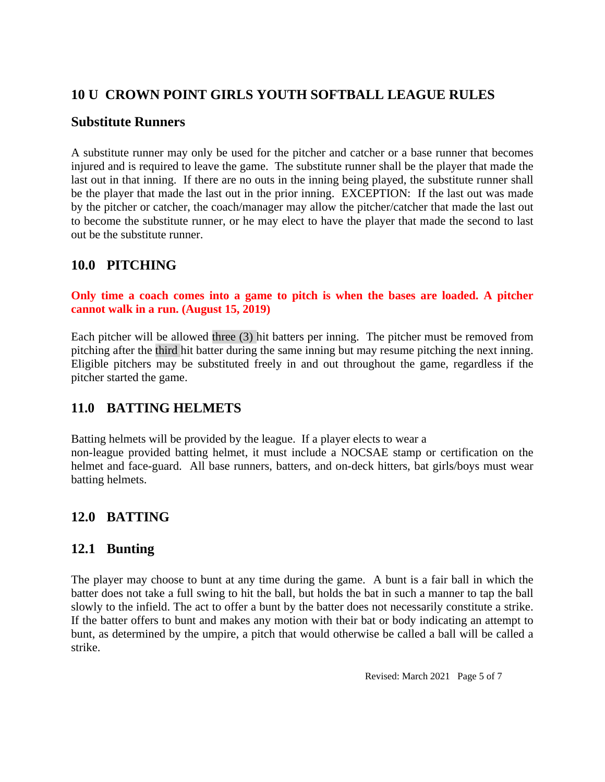#### **Substitute Runners**

A substitute runner may only be used for the pitcher and catcher or a base runner that becomes injured and is required to leave the game. The substitute runner shall be the player that made the last out in that inning. If there are no outs in the inning being played, the substitute runner shall be the player that made the last out in the prior inning. EXCEPTION: If the last out was made by the pitcher or catcher, the coach/manager may allow the pitcher/catcher that made the last out to become the substitute runner, or he may elect to have the player that made the second to last out be the substitute runner.

## **10.0 PITCHING**

#### **Only time a coach comes into a game to pitch is when the bases are loaded. A pitcher cannot walk in a run. (August 15, 2019)**

Each pitcher will be allowed three (3) hit batters per inning. The pitcher must be removed from pitching after the third hit batter during the same inning but may resume pitching the next inning. Eligible pitchers may be substituted freely in and out throughout the game, regardless if the pitcher started the game.

## **11.0 BATTING HELMETS**

Batting helmets will be provided by the league. If a player elects to wear a non-league provided batting helmet, it must include a NOCSAE stamp or certification on the helmet and face-guard. All base runners, batters, and on-deck hitters, bat girls/boys must wear batting helmets.

## **12.0 BATTING**

#### **12.1 Bunting**

The player may choose to bunt at any time during the game. A bunt is a fair ball in which the batter does not take a full swing to hit the ball, but holds the bat in such a manner to tap the ball slowly to the infield. The act to offer a bunt by the batter does not necessarily constitute a strike. If the batter offers to bunt and makes any motion with their bat or body indicating an attempt to bunt, as determined by the umpire, a pitch that would otherwise be called a ball will be called a strike.

Revised: March 2021 Page 5 of 7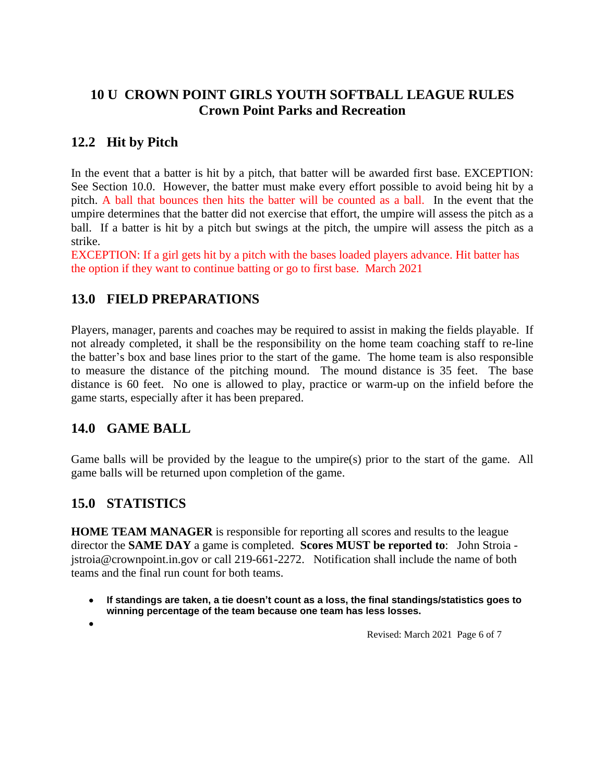# **10 U CROWN POINT GIRLS YOUTH SOFTBALL LEAGUE RULES Crown Point Parks and Recreation**

# **12.2 Hit by Pitch**

In the event that a batter is hit by a pitch, that batter will be awarded first base. EXCEPTION: See Section 10.0. However, the batter must make every effort possible to avoid being hit by a pitch. A ball that bounces then hits the batter will be counted as a ball. In the event that the umpire determines that the batter did not exercise that effort, the umpire will assess the pitch as a ball. If a batter is hit by a pitch but swings at the pitch, the umpire will assess the pitch as a strike.

EXCEPTION: If a girl gets hit by a pitch with the bases loaded players advance. Hit batter has the option if they want to continue batting or go to first base. March 2021

# **13.0 FIELD PREPARATIONS**

Players, manager, parents and coaches may be required to assist in making the fields playable. If not already completed, it shall be the responsibility on the home team coaching staff to re-line the batter's box and base lines prior to the start of the game. The home team is also responsible to measure the distance of the pitching mound. The mound distance is 35 feet. The base distance is 60 feet. No one is allowed to play, practice or warm-up on the infield before the game starts, especially after it has been prepared.

## **14.0 GAME BALL**

Game balls will be provided by the league to the umpire(s) prior to the start of the game. All game balls will be returned upon completion of the game.

# **15.0 STATISTICS**

**HOME TEAM MANAGER** is responsible for reporting all scores and results to the league director the **SAME DAY** a game is completed. **Scores MUST be reported to**: John Stroia jstroia@crownpoint.in.gov or call 219-661-2272. Notification shall include the name of both teams and the final run count for both teams.

- **If standings are taken, a tie doesn't count as a loss, the final standings/statistics goes to winning percentage of the team because one team has less losses.**
- $\bullet$

Revised: March 2021 Page 6 of 7